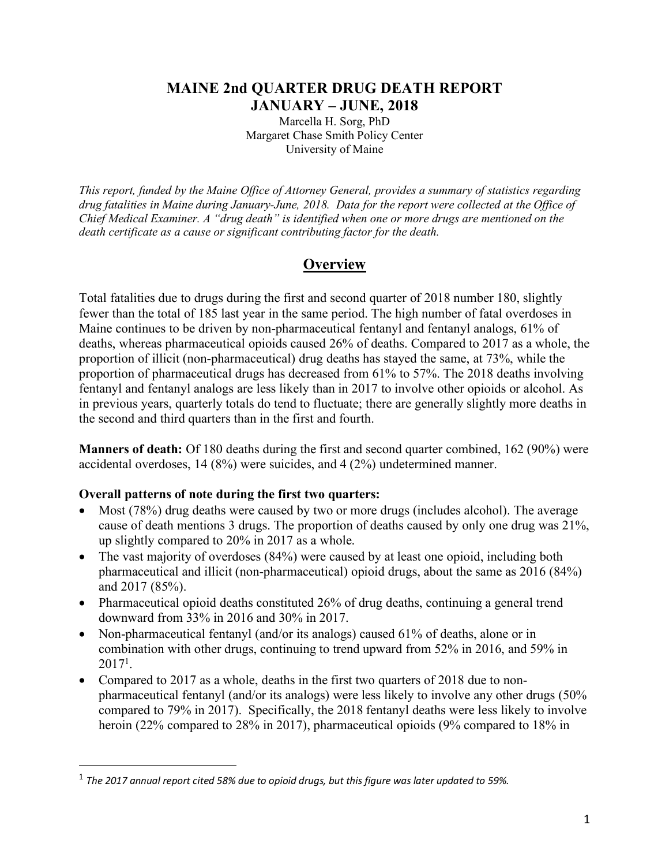## **MAINE 2nd QUARTER DRUG DEATH REPORT JANUARY – JUNE, 2018**

Marcella H. Sorg, PhD Margaret Chase Smith Policy Center University of Maine

*This report, funded by the Maine Office of Attorney General, provides a summary of statistics regarding drug fatalities in Maine during January-June, 2018. Data for the report were collected at the Office of Chief Medical Examiner. A "drug death" is identified when one or more drugs are mentioned on the death certificate as a cause or significant contributing factor for the death.*

# **Overview**

Total fatalities due to drugs during the first and second quarter of 2018 number 180, slightly fewer than the total of 185 last year in the same period. The high number of fatal overdoses in Maine continues to be driven by non-pharmaceutical fentanyl and fentanyl analogs, 61% of deaths, whereas pharmaceutical opioids caused 26% of deaths. Compared to 2017 as a whole, the proportion of illicit (non-pharmaceutical) drug deaths has stayed the same, at 73%, while the proportion of pharmaceutical drugs has decreased from 61% to 57%. The 2018 deaths involving fentanyl and fentanyl analogs are less likely than in 2017 to involve other opioids or alcohol. As in previous years, quarterly totals do tend to fluctuate; there are generally slightly more deaths in the second and third quarters than in the first and fourth.

**Manners of death:** Of 180 deaths during the first and second quarter combined, 162 (90%) were accidental overdoses, 14 (8%) were suicides, and 4 (2%) undetermined manner.

## **Overall patterns of note during the first two quarters:**

- Most (78%) drug deaths were caused by two or more drugs (includes alcohol). The average cause of death mentions 3 drugs. The proportion of deaths caused by only one drug was 21%, up slightly compared to 20% in 2017 as a whole.
- The vast majority of overdoses (84%) were caused by at least one opioid, including both pharmaceutical and illicit (non-pharmaceutical) opioid drugs, about the same as 2016 (84%) and 2017 (85%).
- Pharmaceutical opioid deaths constituted 26% of drug deaths, continuing a general trend downward from 33% in 2016 and 30% in 2017.
- Non-pharmaceutical fentanyl (and/or its analogs) caused 61% of deaths, alone or in combination with other drugs, continuing to trend upward from 52% in 2016, and 59% in  $2017<sup>1</sup>$ .
- Compared to 2017 as a whole, deaths in the first two quarters of 2018 due to nonpharmaceutical fentanyl (and/or its analogs) were less likely to involve any other drugs (50% compared to 79% in 2017). Specifically, the 2018 fentanyl deaths were less likely to involve heroin (22% compared to 28% in 2017), pharmaceutical opioids (9% compared to 18% in

 <sup>1</sup> *The 2017 annual report cited 58% due to opioid drugs, but this figure was later updated to 59%.*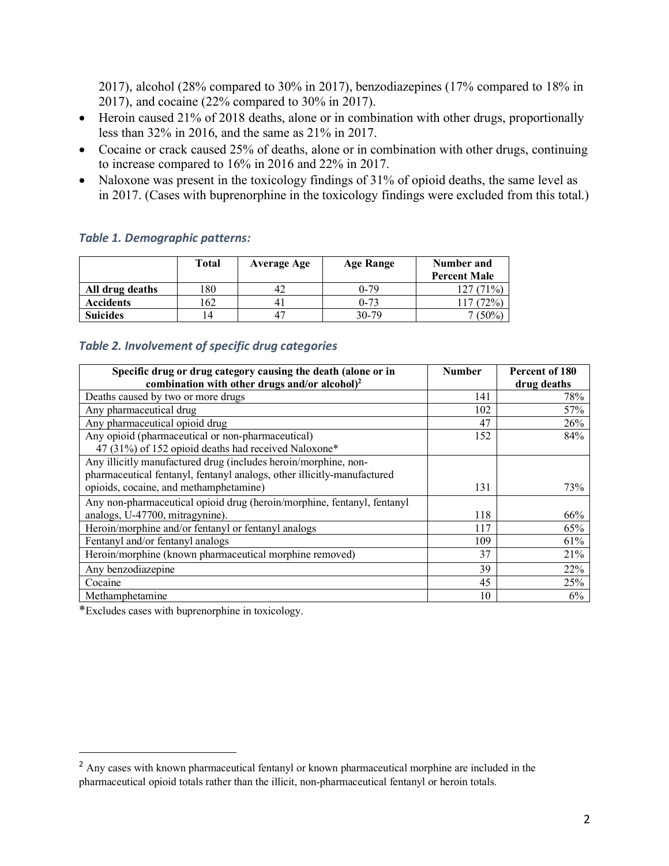2017), alcohol (28% compared to 30% in 2017), benzodiazepines (17% compared to 18% in 2017), and cocaine (22% compared to 30% in 2017).

- Heroin caused 21% of 2018 deaths, alone or in combination with other drugs, proportionally less than 32% in 2016, and the same as 21% in 2017.
- Cocaine or crack caused 25% of deaths, alone or in combination with other drugs, continuing to increase compared to 16% in 2016 and 22% in 2017.
- Naloxone was present in the toxicology findings of 31% of opioid deaths, the same level as in 2017. (Cases with buprenorphine in the toxicology findings were excluded from this total.)

|                  | Total | Average Age | Age Range | Number and<br><b>Percent Male</b> |
|------------------|-------|-------------|-----------|-----------------------------------|
| All drug deaths  | 180   |             | $0 - 79$  | 127 (71%)                         |
| <b>Accidents</b> | .62   | 4.          | $0 - 73$  | $72\%$                            |
| <b>Suicides</b>  | 14    | $4^{\circ}$ | $30 - 79$ | $(50\%$                           |

### *Table 1. Demographic patterns:*

### *Table 2. Involvement of specific drug categories*

| Specific drug or drug category causing the death (alone or in           | <b>Number</b> | Percent of 180 |
|-------------------------------------------------------------------------|---------------|----------------|
| combination with other drugs and/or alcohol) $^2$                       |               | drug deaths    |
| Deaths caused by two or more drugs                                      | 141           | 78%            |
| Any pharmaceutical drug                                                 | 102           | 57%            |
| Any pharmaceutical opioid drug                                          | 47            | 26%            |
| Any opioid (pharmaceutical or non-pharmaceutical)                       | 152           | 84%            |
| 47 (31%) of 152 opioid deaths had received Naloxone*                    |               |                |
| Any illicitly manufactured drug (includes heroin/morphine, non-         |               |                |
| pharmaceutical fentanyl, fentanyl analogs, other illicitly-manufactured |               |                |
| opioids, cocaine, and methamphetamine)                                  | 131           | 73%            |
| Any non-pharmaceutical opioid drug (heroin/morphine, fentanyl, fentanyl |               |                |
| analogs, U-47700, mitragynine).                                         | 118           | 66%            |
| Heroin/morphine and/or fentanyl or fentanyl analogs                     | 117           | 65%            |
| Fentanyl and/or fentanyl analogs                                        | 109           | 61%            |
| Heroin/morphine (known pharmaceutical morphine removed)                 | 37            | 21%            |
| Any benzodiazepine                                                      | 39            | 22%            |
| Cocaine                                                                 | 45            | 25%            |
| Methamphetamine                                                         | 10            | 6%             |

\*Excludes cases with buprenorphine in toxicology.

<sup>&</sup>lt;sup>2</sup> Any cases with known pharmaceutical fentanyl or known pharmaceutical morphine are included in the pharmaceutical opioid totals rather than the illicit, non-pharmaceutical fentanyl or heroin totals.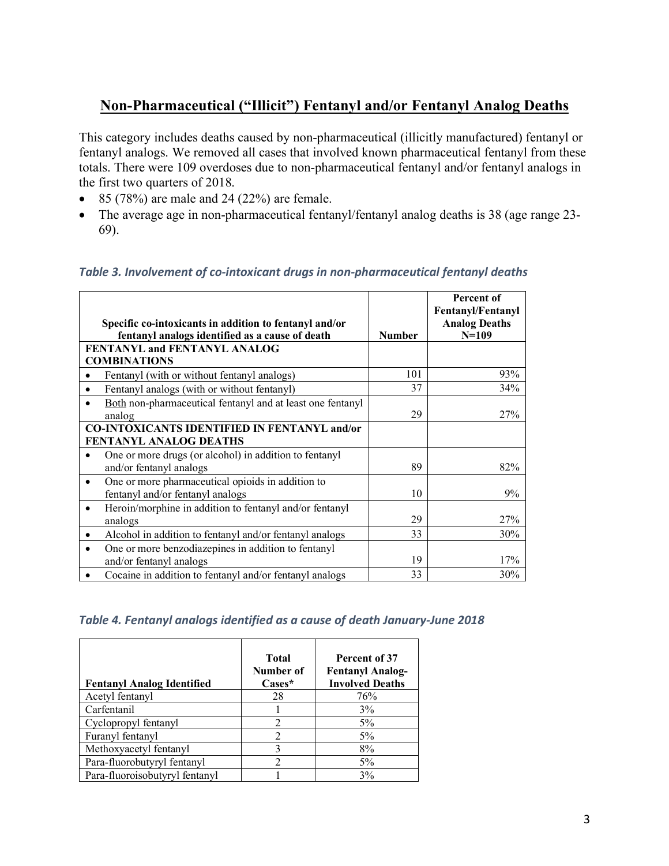# **Non-Pharmaceutical ("Illicit") Fentanyl and/or Fentanyl Analog Deaths**

This category includes deaths caused by non-pharmaceutical (illicitly manufactured) fentanyl or fentanyl analogs. We removed all cases that involved known pharmaceutical fentanyl from these totals. There were 109 overdoses due to non-pharmaceutical fentanyl and/or fentanyl analogs in the first two quarters of 2018.

- 85 (78%) are male and 24 (22%) are female.
- The average age in non-pharmaceutical fentanyl/fentanyl analog deaths is 38 (age range 23- 69).

#### *Table 3. Involvement of co-intoxicant drugs in non-pharmaceutical fentanyl deaths*

| Specific co-intoxicants in addition to fentanyl and/or<br>fentanyl analogs identified as a cause of death | <b>Number</b> | Percent of<br><b>Fentanyl/Fentanyl</b><br><b>Analog Deaths</b><br>$N=109$ |
|-----------------------------------------------------------------------------------------------------------|---------------|---------------------------------------------------------------------------|
| <b>FENTANYL and FENTANYL ANALOG</b><br><b>COMBINATIONS</b>                                                |               |                                                                           |
| Fentanyl (with or without fentanyl analogs)                                                               | 101           | 93%                                                                       |
| Fentanyl analogs (with or without fentanyl)<br>٠                                                          | 37            | 34%                                                                       |
| Both non-pharmaceutical fentanyl and at least one fentanyl<br>analog                                      | 29            | 27%                                                                       |
| <b>CO-INTOXICANTS IDENTIFIED IN FENTANYL and/or</b><br>FENTANYL ANALOG DEATHS                             |               |                                                                           |
| One or more drugs (or alcohol) in addition to fentanyl<br>and/or fentanyl analogs                         | 89            | 82%                                                                       |
| One or more pharmaceutical opioids in addition to<br>$\bullet$<br>fentanyl and/or fentanyl analogs        | 10            | 9%                                                                        |
| Heroin/morphine in addition to fentanyl and/or fentanyl<br>$\bullet$<br>analogs                           | 29            | 27%                                                                       |
| Alcohol in addition to fentanyl and/or fentanyl analogs<br>٠                                              | 33            | 30%                                                                       |
| One or more benzodiazepines in addition to fentanyl<br>and/or fentanyl analogs                            | 19            | 17%                                                                       |
| Cocaine in addition to fentanyl and/or fentanyl analogs                                                   | 33            | 30%                                                                       |

#### *Table 4. Fentanyl analogs identified as a cause of death January-June 2018*

| <b>Fentanyl Analog Identified</b> | <b>Total</b><br>Number of<br>$\mathbf{C}$ ases* | Percent of 37<br><b>Fentanyl Analog-</b><br><b>Involved Deaths</b> |
|-----------------------------------|-------------------------------------------------|--------------------------------------------------------------------|
| Acetyl fentanyl                   | 28                                              | 76%                                                                |
| Carfentanil                       |                                                 | 3%                                                                 |
| Cyclopropyl fentanyl              | 2                                               | $5\%$                                                              |
| Furanyl fentanyl                  | 2                                               | $5\%$                                                              |
| Methoxyacetyl fentanyl            | 3                                               | 8%                                                                 |
| Para-fluorobutyryl fentanyl       | 2                                               | $5\%$                                                              |
| Para-fluoroisobutyryl fentanyl    |                                                 | 3%                                                                 |